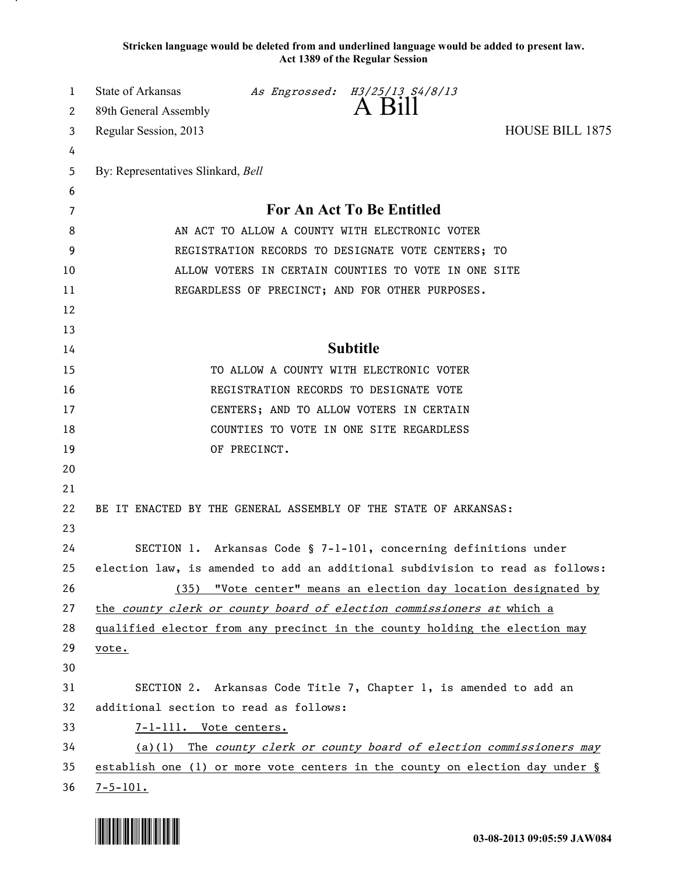**Stricken language would be deleted from and underlined language would be added to present law. Act 1389 of the Regular Session**

| 1        | State of Arkansas                                                                                    |              | As Engrossed: H3/25/13 S4/8/13<br>A Bill                          |                                                                               |
|----------|------------------------------------------------------------------------------------------------------|--------------|-------------------------------------------------------------------|-------------------------------------------------------------------------------|
| 2        | 89th General Assembly                                                                                |              |                                                                   |                                                                               |
| 3        | Regular Session, 2013                                                                                |              |                                                                   | <b>HOUSE BILL 1875</b>                                                        |
| 4        |                                                                                                      |              |                                                                   |                                                                               |
| 5        | By: Representatives Slinkard, Bell                                                                   |              |                                                                   |                                                                               |
| 6        |                                                                                                      |              |                                                                   |                                                                               |
| 7        |                                                                                                      |              | For An Act To Be Entitled                                         |                                                                               |
| 8        | AN ACT TO ALLOW A COUNTY WITH ELECTRONIC VOTER<br>REGISTRATION RECORDS TO DESIGNATE VOTE CENTERS; TO |              |                                                                   |                                                                               |
| 9        |                                                                                                      |              |                                                                   |                                                                               |
| 10       |                                                                                                      |              | ALLOW VOTERS IN CERTAIN COUNTIES TO VOTE IN ONE SITE              |                                                                               |
| 11       |                                                                                                      |              | REGARDLESS OF PRECINCT; AND FOR OTHER PURPOSES.                   |                                                                               |
| 12       |                                                                                                      |              |                                                                   |                                                                               |
| 13       |                                                                                                      |              |                                                                   |                                                                               |
| 14       |                                                                                                      |              | <b>Subtitle</b>                                                   |                                                                               |
| 15       |                                                                                                      |              | TO ALLOW A COUNTY WITH ELECTRONIC VOTER                           |                                                                               |
| 16       |                                                                                                      |              | REGISTRATION RECORDS TO DESIGNATE VOTE                            |                                                                               |
| 17       |                                                                                                      |              | CENTERS; AND TO ALLOW VOTERS IN CERTAIN                           |                                                                               |
| 18       |                                                                                                      |              | COUNTIES TO VOTE IN ONE SITE REGARDLESS                           |                                                                               |
| 19       |                                                                                                      | OF PRECINCT. |                                                                   |                                                                               |
| 20       |                                                                                                      |              |                                                                   |                                                                               |
| 21       |                                                                                                      |              |                                                                   |                                                                               |
| 22       | BE IT ENACTED BY THE GENERAL ASSEMBLY OF THE STATE OF ARKANSAS:                                      |              |                                                                   |                                                                               |
| 23       |                                                                                                      |              |                                                                   |                                                                               |
| 24       |                                                                                                      |              | SECTION 1. Arkansas Code § 7-1-101, concerning definitions under  |                                                                               |
| 25<br>26 |                                                                                                      |              |                                                                   | election law, is amended to add an additional subdivision to read as follows: |
| 27       |                                                                                                      |              |                                                                   | (35) "Vote center" means an election day location designated by               |
| 28       | the county clerk or county board of election commissioners at which a                                |              |                                                                   |                                                                               |
| 29       | qualified elector from any precinct in the county holding the election may                           |              |                                                                   |                                                                               |
| 30       | vote.                                                                                                |              |                                                                   |                                                                               |
| 31       |                                                                                                      |              | SECTION 2. Arkansas Code Title 7, Chapter 1, is amended to add an |                                                                               |
| 32       | additional section to read as follows:                                                               |              |                                                                   |                                                                               |
| 33       | 7-1-111. Vote centers.                                                                               |              |                                                                   |                                                                               |
| 34       |                                                                                                      |              |                                                                   | (a)(1) The county clerk or county board of election commissioners may         |
| 35       |                                                                                                      |              |                                                                   | establish one (1) or more vote centers in the county on election day under §  |
| 36       | $7 - 5 - 101.$                                                                                       |              |                                                                   |                                                                               |
|          |                                                                                                      |              |                                                                   |                                                                               |

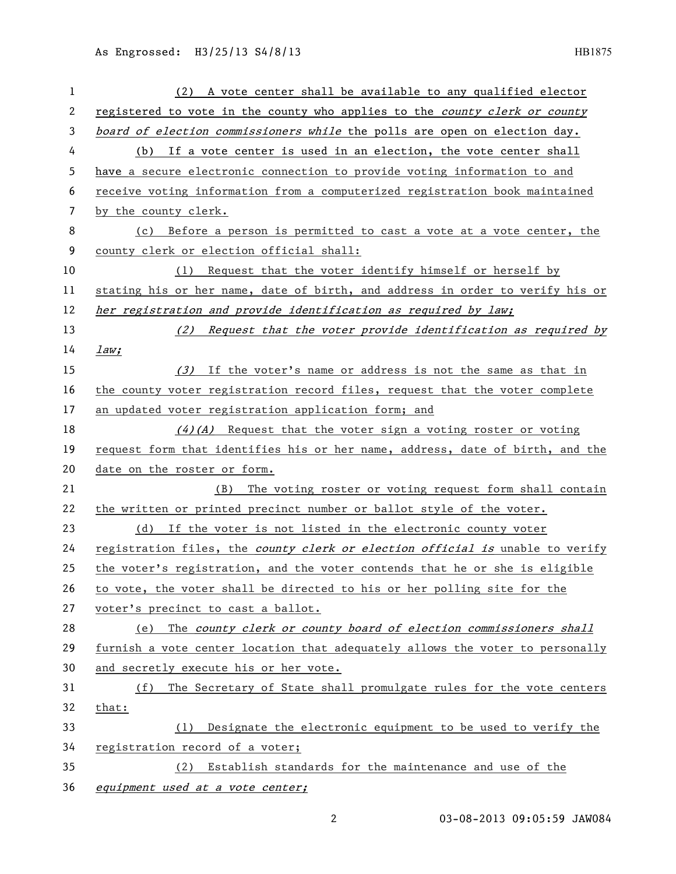| 1  | A vote center shall be available to any qualified elector<br>(2)              |
|----|-------------------------------------------------------------------------------|
| 2  | registered to vote in the county who applies to the county clerk or county    |
| 3  | board of election commissioners while the polls are open on election day.     |
| 4  | (b) If a vote center is used in an election, the vote center shall            |
| 5  | have a secure electronic connection to provide voting information to and      |
| 6  | receive voting information from a computerized registration book maintained   |
| 7  | by the county clerk.                                                          |
| 8  | (c) Before a person is permitted to cast a vote at a vote center, the         |
| 9  | county clerk or election official shall:                                      |
| 10 | (1) Request that the voter identify himself or herself by                     |
| 11 | stating his or her name, date of birth, and address in order to verify his or |
| 12 | her registration and provide identification as required by law;               |
| 13 | (2) Request that the voter provide identification as required by              |
| 14 | law:                                                                          |
| 15 | (3) If the voter's name or address is not the same as that in                 |
| 16 | the county voter registration record files, request that the voter complete   |
| 17 | an updated voter registration application form; and                           |
| 18 | $(4)(A)$ Request that the voter sign a voting roster or voting                |
| 19 | request form that identifies his or her name, address, date of birth, and the |
| 20 | date on the roster or form.                                                   |
| 21 | (B) The voting roster or voting request form shall contain                    |
| 22 | the written or printed precinct number or ballot style of the voter.          |
| 23 | (d) If the voter is not listed in the electronic county voter                 |
| 24 | registration files, the county clerk or election official is unable to verify |
| 25 | the voter's registration, and the voter contends that he or she is eligible   |
| 26 | to vote, the voter shall be directed to his or her polling site for the       |
| 27 | voter's precinct to cast a ballot.                                            |
| 28 | The county clerk or county board of election commissioners shall<br>(e)       |
| 29 | furnish a vote center location that adequately allows the voter to personally |
| 30 | and secretly execute his or her vote.                                         |
| 31 | The Secretary of State shall promulgate rules for the vote centers<br>(f)     |
| 32 | that:                                                                         |
| 33 | Designate the electronic equipment to be used to verify the<br>(1)            |
| 34 | registration record of a voter;                                               |
| 35 | Establish standards for the maintenance and use of the<br>(2)                 |
| 36 | equipment used at a vote center;                                              |

03-08-2013 09:05:59 JAW084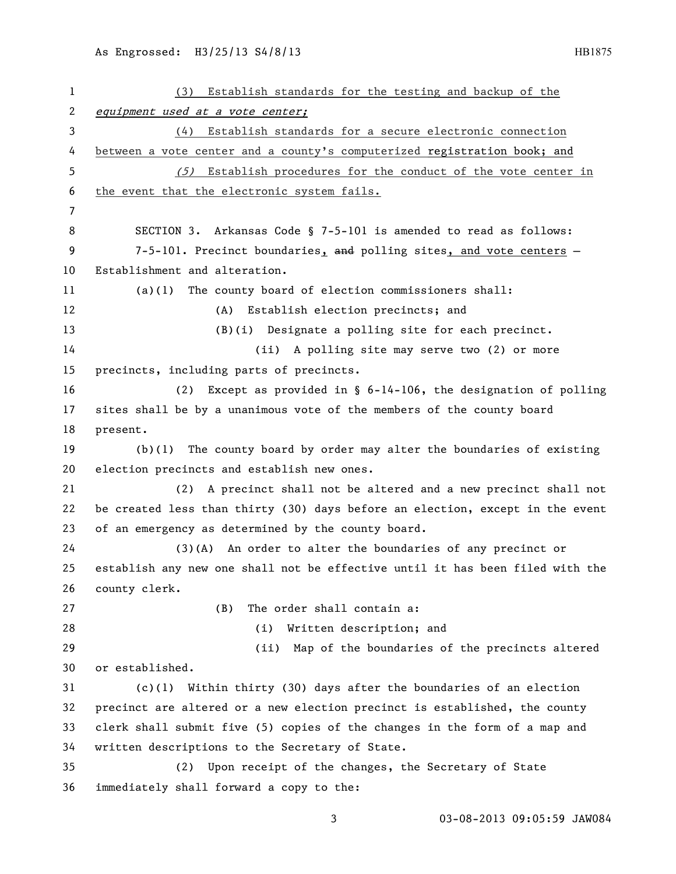| $\mathbf{1}$ | Establish standards for the testing and backup of the<br>(3)                  |
|--------------|-------------------------------------------------------------------------------|
| 2            | equipment used at a vote center;                                              |
| 3            | (4) Establish standards for a secure electronic connection                    |
| 4            | between a vote center and a county's computerized registration book; and      |
| 5            | (5) Establish procedures for the conduct of the vote center in                |
| 6            | the event that the electronic system fails.                                   |
| 7            |                                                                               |
| 8            | SECTION 3. Arkansas Code § 7-5-101 is amended to read as follows:             |
| 9            | 7-5-101. Precinct boundaries, and polling sites, and vote centers -           |
| 10           | Establishment and alteration.                                                 |
| 11           | The county board of election commissioners shall:<br>(a)(1)                   |
| 12           | (A) Establish election precincts; and                                         |
| 13           | $(B)(i)$ Designate a polling site for each precinct.                          |
| 14           | (ii) A polling site may serve two (2) or more                                 |
| 15           | precincts, including parts of precincts.                                      |
| 16           | Except as provided in $\S$ 6-14-106, the designation of polling<br>(2)        |
| 17           | sites shall be by a unanimous vote of the members of the county board         |
| 18           | present.                                                                      |
| 19           | $(b)(1)$ The county board by order may alter the boundaries of existing       |
| 20           | election precincts and establish new ones.                                    |
| 21           | A precinct shall not be altered and a new precinct shall not<br>(2)           |
| 22           | be created less than thirty (30) days before an election, except in the event |
| 23           | of an emergency as determined by the county board.                            |
| 24           | $(3)(A)$ An order to alter the boundaries of any precinct or                  |
| 25           | establish any new one shall not be effective until it has been filed with the |
| 26           | county clerk.                                                                 |
| 27           | The order shall contain a:<br>(B)                                             |
| 28           | Written description; and<br>(i)                                               |
| 29           | Map of the boundaries of the precincts altered<br>(ii)                        |
| 30           | or established.                                                               |
| 31           | $(c)(1)$ Within thirty (30) days after the boundaries of an election          |
| 32           | precinct are altered or a new election precinct is established, the county    |
| 33           | clerk shall submit five (5) copies of the changes in the form of a map and    |
| 34           | written descriptions to the Secretary of State.                               |
| 35           | Upon receipt of the changes, the Secretary of State<br>(2)                    |
| 36           | immediately shall forward a copy to the:                                      |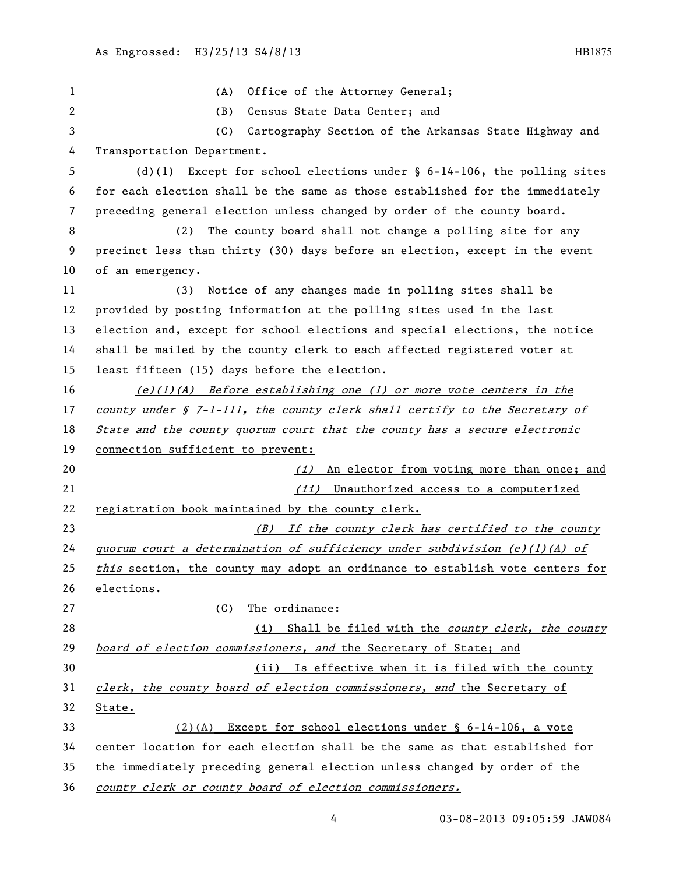| 1  | Office of the Attorney General;<br>(A)                                          |
|----|---------------------------------------------------------------------------------|
| 2  | (B)<br>Census State Data Center; and                                            |
| 3  | (C)<br>Cartography Section of the Arkansas State Highway and                    |
| 4  | Transportation Department.                                                      |
| 5  | Except for school elections under $\S$ 6-14-106, the polling sites<br>$(d)$ (1) |
| 6  | for each election shall be the same as those established for the immediately    |
| 7  | preceding general election unless changed by order of the county board.         |
| 8  | The county board shall not change a polling site for any<br>(2)                 |
| 9  | precinct less than thirty (30) days before an election, except in the event     |
| 10 | of an emergency.                                                                |
| 11 | Notice of any changes made in polling sites shall be<br>(3)                     |
| 12 | provided by posting information at the polling sites used in the last           |
| 13 | election and, except for school elections and special elections, the notice     |
| 14 | shall be mailed by the county clerk to each affected registered voter at        |
| 15 | least fifteen (15) days before the election.                                    |
| 16 | $(e)(1)(A)$ Before establishing one (1) or more vote centers in the             |
| 17 | county under § 7-1-111, the county clerk shall certify to the Secretary of      |
| 18 | State and the county quorum court that the county has a secure electronic       |
| 19 | connection sufficient to prevent:                                               |
| 20 | (i) An elector from voting more than once; and                                  |
| 21 | (ii) Unauthorized access to a computerized                                      |
| 22 | registration book maintained by the county clerk.                               |
| 23 | (B) If the county clerk has certified to the county                             |
| 24 | quorum court a determination of sufficiency under subdivision $(e)(1)(A)$ of    |
| 25 | this section, the county may adopt an ordinance to establish vote centers for   |
| 26 | elections.                                                                      |
| 27 | The ordinance:<br>(C)                                                           |
| 28 | (i)<br>Shall be filed with the county clerk, the county                         |
| 29 | board of election commissioners, and the Secretary of State; and                |
| 30 | Is effective when it is filed with the county<br>(ii)                           |
| 31 | clerk, the county board of election commissioners, and the Secretary of         |
| 32 | State.                                                                          |
| 33 | $(2)(A)$ Except for school elections under § 6-14-106, a vote                   |
| 34 | center location for each election shall be the same as that established for     |
| 35 | the immediately preceding general election unless changed by order of the       |
| 36 | county clerk or county board of election commissioners.                         |

4 03-08-2013 09:05:59 JAW084